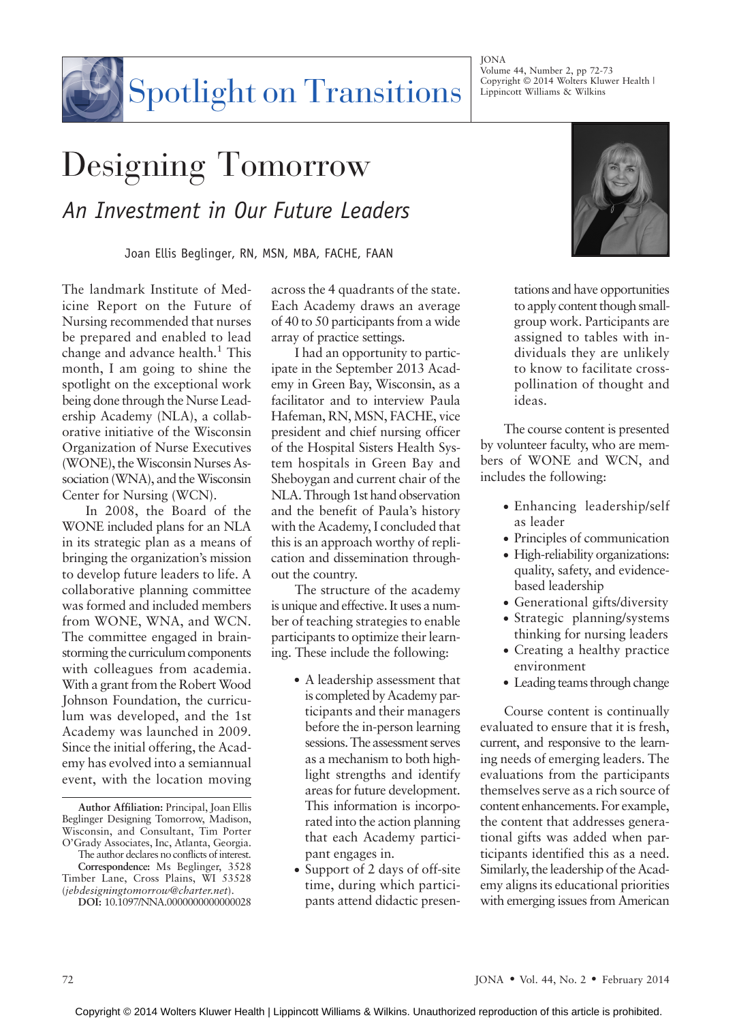**JONA** Volume 44, Number 2, pp 72-73 Copyright  $\odot$  2014 Wolters Kluwer Health | Lippincott Williams & Wilkins

## Spotlight on Transitions

## Designing Tomorrow An Investment in Our Future Leaders

Joan Ellis Beglinger, RN, MSN, MBA, FACHE, FAAN

The landmark Institute of Medicine Report on the Future of Nursing recommended that nurses be prepared and enabled to lead change and advance health. $<sup>1</sup>$  This</sup> month, I am going to shine the spotlight on the exceptional work being done through the Nurse Leadership Academy (NLA), a collaborative initiative of the Wisconsin Organization of Nurse Executives (WONE), the Wisconsin Nurses Association (WNA), and the Wisconsin Center for Nursing (WCN).

In 2008, the Board of the WONE included plans for an NLA in its strategic plan as a means of bringing the organization's mission to develop future leaders to life. A collaborative planning committee was formed and included members from WONE, WNA, and WCN. The committee engaged in brainstorming the curriculum components with colleagues from academia. With a grant from the Robert Wood Johnson Foundation, the curriculum was developed, and the 1st Academy was launched in 2009. Since the initial offering, the Academy has evolved into a semiannual event, with the location moving

Author Affiliation: Principal, Joan Ellis Beglinger Designing Tomorrow, Madison, Wisconsin, and Consultant, Tim Porter O'Grady Associates, Inc, Atlanta, Georgia. The author declares no conflicts of interest.

Correspondence: Ms Beglinger, 3528 Timber Lane, Cross Plains, WI 53528 ([jebdesigningtomorrow@charter.net](mailto:jebdesigningtomorrow@charter.net)).

DOI: 10.1097/NNA.0000000000000028

across the 4 quadrants of the state. Each Academy draws an average of 40 to 50 participants from a wide array of practice settings.

I had an opportunity to participate in the September 2013 Academy in Green Bay, Wisconsin, as a facilitator and to interview Paula Hafeman, RN, MSN, FACHE, vice president and chief nursing officer of the Hospital Sisters Health System hospitals in Green Bay and Sheboygan and current chair of the NLA. Through 1st hand observation and the benefit of Paula's history with the Academy, I concluded that this is an approach worthy of replication and dissemination throughout the country.

The structure of the academy is unique and effective. It uses a number of teaching strategies to enable participants to optimize their learning. These include the following:

- A leadership assessment that is completed by Academy participants and their managers before the in-person learning sessions. The assessment serves as a mechanism to both highlight strengths and identify areas for future development. This information is incorporated into the action planning that each Academy participant engages in.
- Support of 2 days of off-site time, during which participants attend didactic presen-



tations and have opportunities to apply content though smallgroup work. Participants are assigned to tables with individuals they are unlikely to know to facilitate crosspollination of thought and ideas.

The course content is presented by volunteer faculty, who are members of WONE and WCN, and includes the following:

- Enhancing leadership/self as leader
- Principles of communication
- High-reliability organizations: quality, safety, and evidencebased leadership
- Generational gifts/diversity
- Strategic planning/systems thinking for nursing leaders
- Creating a healthy practice environment
- Leading teams through change

Course content is continually evaluated to ensure that it is fresh, current, and responsive to the learning needs of emerging leaders. The evaluations from the participants themselves serve as a rich source of content enhancements. For example, the content that addresses generational gifts was added when participants identified this as a need. Similarly, the leadership of the Academy aligns its educational priorities with emerging issues from American